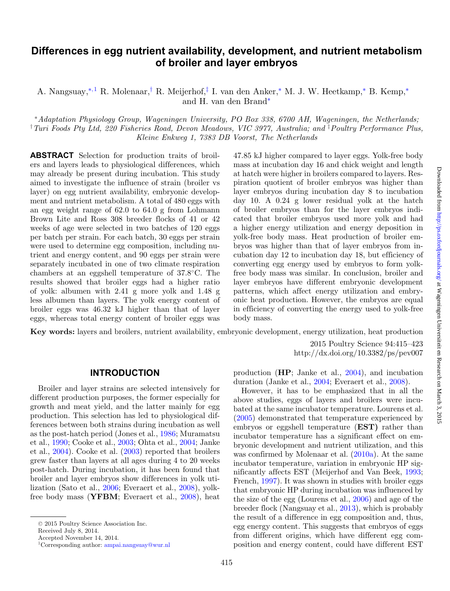# **Differences in egg nutrient availability, development, and nutrient metabolism of broiler and layer embryos**

A. Nangsuay,<sup>[∗](#page-0-0)[, 1](#page-0-1)</sup> R. Molenaar,<sup>[†](#page-0-2)</sup> R. Meijerhof,<sup>[‡](#page-0-3)</sup> I. van den Anker,<sup>∗</sup> M. J. W. Heetkamp,<sup>∗</sup> B. Kemp,<sup>∗</sup> and H. van den Brand[∗](#page-0-0)

<span id="page-0-2"></span><span id="page-0-0"></span><sup>∗</sup>*Adaptation Physiology Group, Wageningen University, PO Box 338, 6700 AH, Wageningen, the Netherlands;* † *Turi Foods Pty Ltd, 220 Fisheries Road, Devon Meadows, VIC 3977, Australia; and* ‡ *Poultry Performance Plus, Kleine Enkweg 1, 7383 DB Voorst, The Netherlands*

**ABSTRACT** Selection for production traits of broilers and layers leads to physiological differences, which may already be present during incubation. This study aimed to investigate the influence of strain (broiler vs layer) on egg nutrient availability, embryonic development and nutrient metabolism. A total of 480 eggs with an egg weight range of 62.0 to 64.0 g from Lohmann Brown Lite and Ross 308 breeder flocks of 41 or 42 weeks of age were selected in two batches of 120 eggs per batch per strain. For each batch, 30 eggs per strain were used to determine egg composition, including nutrient and energy content, and 90 eggs per strain were separately incubated in one of two climate respiration chambers at an eggshell temperature of 37.8◦C. The results showed that broiler eggs had a higher ratio of yolk: albumen with 2.41 g more yolk and 1.48 g less albumen than layers. The yolk energy content of broiler eggs was 46.32 kJ higher than that of layer eggs, whereas total energy content of broiler eggs was

<span id="page-0-3"></span>47.85 kJ higher compared to layer eggs. Yolk-free body mass at incubation day 16 and chick weight and length at hatch were higher in broilers compared to layers. Respiration quotient of broiler embryos was higher than layer embryos during incubation day 8 to incubation day 10. A 0.24 g lower residual yolk at the hatch of broiler embryos than for the layer embryos indicated that broiler embryos used more yolk and had a higher energy utilization and energy deposition in yolk-free body mass. Heat production of broiler embryos was higher than that of layer embryos from incubation day 12 to incubation day 18, but efficiency of converting egg energy used by embryos to form yolkfree body mass was similar. In conclusion, broiler and layer embryos have different embryonic development patterns, which affect energy utilization and embryonic heat production. However, the embryos are equal in efficiency of converting the energy used to yolk-free body mass.

**Key words:** layers and broilers, nutrient availability, embryonic development, energy utilization, heat production

2015 Poultry Science 94:415–423 http://dx.doi.org/10.3382/ps/pev007

#### **INTRODUCTION**

Broiler and layer strains are selected intensively for different production purposes, the former especially for growth and meat yield, and the latter mainly for egg production. This selection has led to physiological differences between both strains during incubation as well as the post-hatch period (Jones et al., [1986;](#page-8-0) Muramatsu et al., [1990;](#page-8-1) Cooke et al., [2003;](#page-7-0) Ohta et al., [2004;](#page-8-2) Janke et al., [2004\)](#page-8-3). Cooke et al. [\(2003\)](#page-7-0) reported that broilers grew faster than layers at all ages during 4 to 20 weeks post-hatch. During incubation, it has been found that broiler and layer embryos show differences in yolk utilization (Sato et al., [2006;](#page-8-4) Everaert et al., [2008\)](#page-7-1), yolkfree body mass (**YFBM**; Everaert et al., [2008\)](#page-7-1), heat

Received July 8, 2014.

<span id="page-0-1"></span>Accepted November 14, 2014.

production (**HP**; Janke et al., [2004\)](#page-8-3), and incubation duration (Janke et al., [2004;](#page-8-3) Everaert et al., [2008\)](#page-7-1).

However, it has to be emphasized that in all the above studies, eggs of layers and broilers were incubated at the same incubator temperature. Lourens et al. [\(2005\)](#page-8-5) demonstrated that temperature experienced by embryos or eggshell temperature (**EST)** rather than incubator temperature has a significant effect on embryonic development and nutrient utilization, and this was confirmed by Molenaar et al. [\(2010a\)](#page-8-6). At the same incubator temperature, variation in embryonic HP significantly affects EST (Meijerhof and Van Beek, [1993;](#page-8-7) French, [1997\)](#page-8-8). It was shown in studies with broiler eggs that embryonic HP during incubation was influenced by the size of the egg (Lourens et al., [2006\)](#page-8-9) and age of the breeder flock (Nangsuay et al., [2013\)](#page-8-10), which is probably the result of a difference in egg composition and, thus, egg energy content. This suggests that embryos of eggs from different origins, which have different egg composition and energy content, could have different EST

<sup>C</sup> 2015 Poultry Science Association Inc.

<sup>1</sup>Corresponding author: [ampai.nangsuay@wur.nl](mailto:ampai.nangsuay@wur.nl)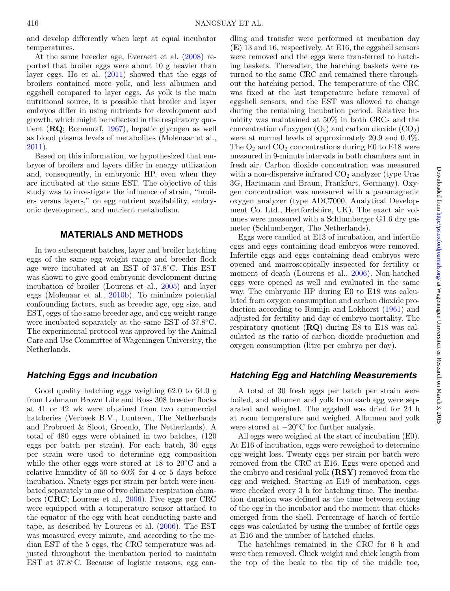and develop differently when kept at equal incubator temperatures.

At the same breeder age, Everaert et al. [\(2008\)](#page-7-1) reported that broiler eggs were about 10 g heavier than layer eggs. Ho et al. [\(2011\)](#page-8-11) showed that the eggs of broilers contained more yolk, and less albumen and eggshell compared to layer eggs. As yolk is the main nutritional source, it is possible that broiler and layer embryos differ in using nutrients for development and growth, which might be reflected in the respiratory quotient (**RQ**; Romanoff, [1967\)](#page-8-12), hepatic glycogen as well as blood plasma levels of metabolites (Molenaar et al., [2011\)](#page-8-13).

Based on this information, we hypothesized that embryos of broilers and layers differ in energy utilization and, consequently, in embryonic HP, even when they are incubated at the same EST. The objective of this study was to investigate the influence of strain, "broilers versus layers," on egg nutrient availability, embryonic development, and nutrient metabolism.

### **MATERIALS AND METHODS**

In two subsequent batches, layer and broiler hatching eggs of the same egg weight range and breeder flock age were incubated at an EST of 37.8◦C. This EST was shown to give good embryonic development during incubation of broiler (Lourens et al., [2005\)](#page-8-5) and layer eggs (Molenaar et al., [2010b\)](#page-8-14). To minimize potential confounding factors, such as breeder age, egg size, and EST, eggs of the same breeder age, and egg weight range were incubated separately at the same EST of 37.8◦C. The experimental protocol was approved by the Animal Care and Use Committee of Wageningen University, the Netherlands.

#### *Hatching Eggs and Incubation*

Good quality hatching eggs weighing 62.0 to 64.0 g from Lohmann Brown Lite and Ross 308 breeder flocks at 41 or 42 wk were obtained from two commercial hatcheries (Verbeek B.V., Lunteren, The Netherlands and Probroed & Sloot, Groenlo, The Netherlands). A total of 480 eggs were obtained in two batches, (120 eggs per batch per strain). For each batch, 30 eggs per strain were used to determine egg composition while the other eggs were stored at 18 to 20◦C and a relative humidity of 50 to 60% for 4 or 5 days before incubation. Ninety eggs per strain per batch were incubated separately in one of two climate respiration chambers (**CRC**; Lourens et al., [2006\)](#page-8-9). Five eggs per CRC were equipped with a temperature sensor attached to the equator of the egg with heat conducting paste and tape, as described by Lourens et al. [\(2006\)](#page-8-9). The EST was measured every minute, and according to the median EST of the 5 eggs, the CRC temperature was adjusted throughout the incubation period to maintain EST at 37.8◦C. Because of logistic reasons, egg candling and transfer were performed at incubation day (**E**) 13 and 16, respectively. At E16, the eggshell sensors were removed and the eggs were transferred to hatching baskets. Thereafter, the hatching baskets were returned to the same CRC and remained there throughout the hatching period. The temperature of the CRC was fixed at the last temperature before removal of eggshell sensors, and the EST was allowed to change during the remaining incubation period. Relative humidity was maintained at 50% in both CRCs and the concentration of oxygen  $(O_2)$  and carbon dioxide  $(CO_2)$ were at normal levels of approximately 20.9 and 0.4%. The  $O_2$  and  $CO_2$  concentrations during E0 to E18 were measured in 9-minute intervals in both chambers and in fresh air. Carbon dioxide concentration was measured with a non-dispersive infrared  $CO<sub>2</sub>$  analyzer (type Uras 3G, Hartmann and Braun, Frankfurt, Germany). Oxygen concentration was measured with a paramagnetic oxygen analyzer (type ADC7000, Analytical Development Co. Ltd., Hertfordshire, UK). The exact air volumes were measured with a Schlumberger G1.6 dry gas meter (Schlumberger, The Netherlands).

Eggs were candled at E13 of incubation, and infertile eggs and eggs containing dead embryos were removed. Infertile eggs and eggs containing dead embryos were opened and macroscopically inspected for fertility or moment of death (Lourens et al., [2006\)](#page-8-9). Non-hatched eggs were opened as well and evaluated in the same way. The embryonic HP during E0 to E18 was calculated from oxygen consumption and carbon dioxide production according to Romijn and Lokhorst [\(1961\)](#page-8-15) and adjusted for fertility and day of embryo mortality. The respiratory quotient (**RQ**) during E8 to E18 was calculated as the ratio of carbon dioxide production and oxygen consumption (litre per embryo per day).

## *Hatching Egg and Hatchling Measurements*

A total of 30 fresh eggs per batch per strain were boiled, and albumen and yolk from each egg were separated and weighed. The eggshell was dried for 24 h at room temperature and weighed. Albumen and yolk were stored at  $-20^{\circ}$ C for further analysis.

All eggs were weighed at the start of incubation (E0). At E16 of incubation, eggs were reweighed to determine egg weight loss. Twenty eggs per strain per batch were removed from the CRC at E16. Eggs were opened and the embryo and residual yolk **(RSY)** removed from the egg and weighed. Starting at E19 of incubation, eggs were checked every 3 h for hatching time. The incubation duration was defined as the time between setting of the egg in the incubator and the moment that chicks emerged from the shell. Percentage of hatch of fertile eggs was calculated by using the number of fertile eggs at E16 and the number of hatched chicks.

The hatchlings remained in the CRC for 6 h and were then removed. Chick weight and chick length from the top of the beak to the tip of the middle toe,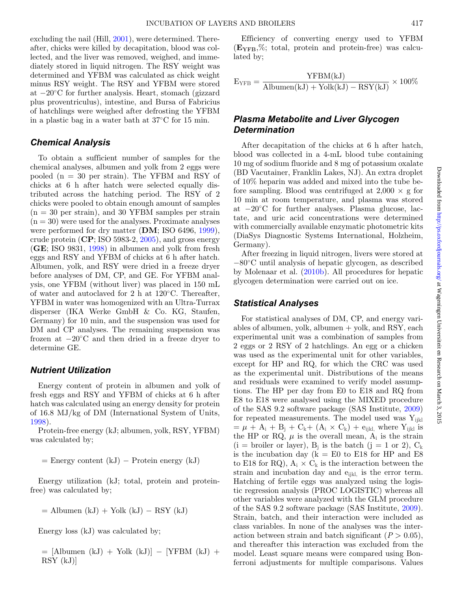excluding the nail (Hill, [2001\)](#page-8-16), were determined. Thereafter, chicks were killed by decapitation, blood was collected, and the liver was removed, weighed, and immediately stored in liquid nitrogen. The RSY weight was determined and YFBM was calculated as chick weight minus RSY weight. The RSY and YFBM were stored at −20◦C for further analysis. Heart, stomach (gizzard plus proventriculus), intestine, and Bursa of Fabricius of hatchlings were weighed after defrosting the YFBM in a plastic bag in a water bath at 37◦C for 15 min.

#### *Chemical Analysis*

To obtain a sufficient number of samples for the chemical analyses, albumen and yolk from 2 eggs were pooled (n = 30 per strain). The YFBM and RSY of chicks at 6 h after hatch were selected equally distributed across the hatching period. The RSY of 2 chicks were pooled to obtain enough amount of samples  $(n = 30$  per strain), and 30 YFBM samples per strain  $(n = 30)$  were used for the analyses. Proximate analyses were performed for dry matter (**DM**; ISO 6496, [1999\)](#page-8-17), crude protein (**CP**; ISO 5983-2, [2005\)](#page-8-18), and gross energy (**GE**; ISO 9831, [1998\)](#page-8-19) in albumen and yolk from fresh eggs and RSY and YFBM of chicks at 6 h after hatch. Albumen, yolk, and RSY were dried in a freeze dryer before analyses of DM, CP, and GE. For YFBM analysis, one YFBM (without liver) was placed in 150 mL of water and autoclaved for 2 h at 120◦C. Thereafter, YFBM in water was homogenized with an Ultra-Turrax disperser (IKA Werke GmbH & Co. KG, Staufen, Germany) for 10 min, and the suspension was used for DM and CP analyses. The remaining suspension was frozen at  $-20\degree$ C and then dried in a freeze dryer to determine GE.

#### *Nutrient Utilization*

Energy content of protein in albumen and yolk of fresh eggs and RSY and YFBM of chicks at 6 h after hatch was calculated using an energy density for protein of 16.8 MJ/kg of DM (International System of Units, [1998\)](#page-8-20).

Protein-free energy (kJ; albumen, yolk, RSY, YFBM) was calculated by;

 $=$  Energy content (kJ)  $-$  Protein energy (kJ)

Energy utilization (kJ; total, protein and proteinfree) was calculated by;

 $=$  Albumen (kJ) + Yolk (kJ) – RSY (kJ)

Energy loss (kJ) was calculated by;

= [Albumen (kJ) + Yolk (kJ)] − [YFBM (kJ) + RSY (kJ)]

Efficiency of converting energy used to YFBM (**EYFB**,%; total, protein and protein-free) was calculated by;

$$
E_{YFB} = \frac{YFBM(kJ)}{Albumen(kJ) + Yolk(kJ) - RSY(kJ)} \times 100\%
$$

## *Plasma Metabolite and Liver Glycogen Determination*

After decapitation of the chicks at 6 h after hatch, blood was collected in a 4-mL blood tube containing 10 mg of sodium fluoride and 8 mg of potassium oxalate (BD Vacutainer, Franklin Lakes, NJ). An extra droplet of 10% heparin was added and mixed into the tube before sampling. Blood was centrifuged at  $2,000 \times g$  for 10 min at room temperature, and plasma was stored at −20◦C for further analyses. Plasma glucose, lactate, and uric acid concentrations were determined with commercially available enzymatic photometric kits (DiaSys Diagnostic Systems International, Holzheim, Germany).

After freezing in liquid nitrogen, livers were stored at −80◦C until analysis of hepatic glycogen, as described by Molenaar et al. [\(2010b\)](#page-8-14). All procedures for hepatic glycogen determination were carried out on ice.

#### *Statistical Analyses*

For statistical analyses of DM, CP, and energy variables of albumen, yolk, albumen  $+$  yolk, and RSY, each experimental unit was a combination of samples from 2 eggs or 2 RSY of 2 hatchlings. An egg or a chicken was used as the experimental unit for other variables, except for HP and RQ, for which the CRC was used as the experimental unit. Distributions of the means and residuals were examined to verify model assumptions. The HP per day from E0 to E18 and RQ from E8 to E18 were analysed using the MIXED procedure of the SAS 9.2 software package (SAS Institute, [2009\)](#page-8-21) for repeated measurements. The model used was  $Y_{iikl}$  $=\mu + A_i + B_i + C_k + (A_i \times C_k) + e_{ijkl}$ , where Y<sub>ijkl</sub> is the HP or RQ,  $\mu$  is the overall mean,  $A_i$  is the strain  $(i = b$ roiler or layer),  $B_i$  is the batch  $(j = 1 \text{ or } 2)$ ,  $C_k$ is the incubation day ( $k = E0$  to E18 for HP and E8 to E18 for RQ),  $A_i \times C_k$  is the interaction between the strain and incubation day and  $e_{ijkl}$  is the error term. Hatching of fertile eggs was analyzed using the logistic regression analysis (PROC LOGISTIC) whereas all other variables were analyzed with the GLM procedure of the SAS 9.2 software package (SAS Institute, [2009\)](#page-8-21). Strain, batch, and their interaction were included as class variables. In none of the analyses was the interaction between strain and batch significant  $(P > 0.05)$ , and thereafter this interaction was excluded from the model. Least square means were compared using Bonferroni adjustments for multiple comparisons. Values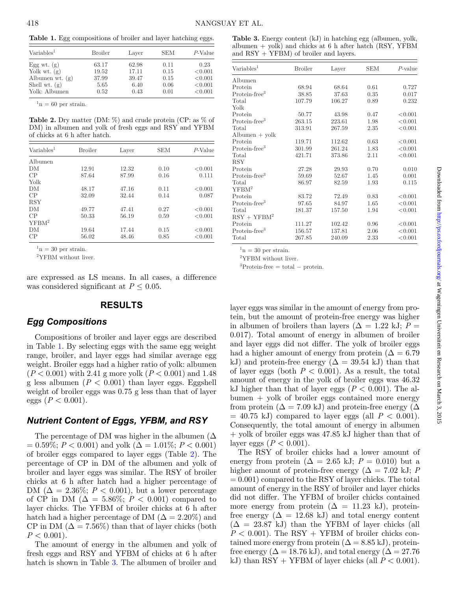<span id="page-3-0"></span>**Table 1.** Egg compositions of broiler and layer hatching eggs.

| $\text{Variables}^1$ | Broiler | Layer | SEM  | $P\text{-Value}$ |
|----------------------|---------|-------|------|------------------|
| Egg wt. $(g)$        | 63.17   | 62.98 | 0.11 | 0.23             |
| Yolk wt. $(g)$       | 19.52   | 17.11 | 0.15 | < 0.001          |
| Albumen wt. $(g)$    | 37.99   | 39.47 | 0.15 | < 0.001          |
| Shell wt. $(g)$      | 5.65    | 6.40  | 0.06 | < 0.001          |
| Yolk: Albumen        | 0.52    | 0.43  | 0.01 | < 0.001          |

 $n = 60$  per strain.

<span id="page-3-1"></span>**Table 2.** Dry matter (DM:  $\%$ ) and crude protein (CP: as  $\%$  of DM) in albumen and yolk of fresh eggs and RSY and YFBM of chicks at 6 h after hatch.

| $\text{Variables}^1$ | <b>Broiler</b> | Layer | <b>SEM</b> | $P\text{-Value}$ |
|----------------------|----------------|-------|------------|------------------|
| Albumen              |                |       |            |                  |
| DM                   | 12.91          | 12.32 | 0.10       | < 0.001          |
| CP                   | 87.64          | 87.99 | 0.16       | 0.111            |
| Yolk                 |                |       |            |                  |
| DM                   | 48.17          | 47.16 | 0.11       | < 0.001          |
| CP                   | 32.09          | 32.44 | 0.14       | 0.087            |
| <b>RSY</b>           |                |       |            |                  |
| DM                   | 49.77          | 47.41 | 0.27       | < 0.001          |
| CP                   | 50.33          | 56.19 | 0.59       | < 0.001          |
| YFBM <sup>2</sup>    |                |       |            |                  |
| DM                   | 19.64          | 17.44 | 0.15       | < 0.001          |
| CP                   | 56.02          | 48.46 | 0.85       | < 0.001          |

 $n = 30$  per strain.

2YFBM without liver.

are expressed as LS means. In all cases, a difference was considered significant at  $P \leq 0.05$ .

## **RESULTS**

## *Egg Compositions*

Compositions of broiler and layer eggs are described in Table [1.](#page-3-0) By selecting eggs with the same egg weight range, broiler, and layer eggs had similar average egg weight. Broiler eggs had a higher ratio of yolk: albumen (*P* < 0.001) with 2.41 g more yolk (*P* < 0.001) and 1.48 g less albumen  $(P < 0.001)$  than layer eggs. Eggshell weight of broiler eggs was 0.75 g less than that of layer eggs ( $P < 0.001$ ).

## *Nutrient Content of Eggs, YFBM, and RSY*

The percentage of DM was higher in the albumen  $(\Delta)$  $= 0.59\%; P < 0.001$  and yolk  $(\Delta = 1.01\%; P < 0.001)$ of broiler eggs compared to layer eggs (Table [2\)](#page-3-1). The percentage of CP in DM of the albumen and yolk of broiler and layer eggs was similar. The RSY of broiler chicks at 6 h after hatch had a higher percentage of DM ( $\Delta = 2.36\%; P < 0.001$ ), but a lower percentage of CP in DM ( $\Delta = 5.86\%$ ;  $P < 0.001$ ) compared to layer chicks. The YFBM of broiler chicks at 6 h after hatch had a higher percentage of DM ( $\Delta = 2.20\%$ ) and CP in DM  $(\Delta = 7.56\%)$  than that of layer chicks (both  $P < 0.001$ ).

The amount of energy in the albumen and yolk of fresh eggs and RSY and YFBM of chicks at 6 h after hatch is shown in Table [3.](#page-3-2) The albumen of broiler and

<span id="page-3-2"></span>

| Table 3. Energy content (kJ) in hatching egg (albumen, yolk, |
|--------------------------------------------------------------|
| albumen $+$ yolk) and chicks at 6 h after hatch (RSY, YFBM   |
| and $RSY + YFBM$ of broiler and layers.                      |

| $\text{Variables}^1$           | <b>Broiler</b> | Layer  | <b>SEM</b> | $P$ -value |
|--------------------------------|----------------|--------|------------|------------|
| Albumen                        |                |        |            |            |
| Protein                        | 68.94          | 68.64  | 0.61       | 0.727      |
| Protein-free <sup>3</sup>      | 38.85          | 37.63  | 0.35       | 0.017      |
| Total                          | 107.79         | 106.27 | 0.89       | 0.232      |
| Yolk                           |                |        |            |            |
| Protein                        | 50.77          | 43.98  | 0.47       | < 0.001    |
| Protein-free <sup>3</sup>      | 263.15         | 223.61 | 1.98       | < 0.001    |
| Total                          | 313.91         | 267.59 | 2.35       | < 0.001    |
| $\text{Albumen} + \text{yolk}$ |                |        |            |            |
| Protein                        | 119.71         | 112.62 | 0.63       | < 0.001    |
| $Protein-free3$                | 301.99         | 261.24 | 1.83       | < 0.001    |
| Total                          | 421.71         | 373.86 | 2.11       | < 0.001    |
| RSY                            |                |        |            |            |
| Protein                        | 27.28          | 29.93  | 0.70       | 0.010      |
| $Protein-free3$                | 59.69          | 52.67  | 1.45       | 0.001      |
| Total                          | 86.97          | 82.59  | 1.93       | 0.115      |
| YFBM <sup>2</sup>              |                |        |            |            |
| Protein                        | 83.72          | 72.49  | 0.83       | < 0.001    |
| Protein-free <sup>3</sup>      | 97.65          | 84.97  | 1.65       | < 0.001    |
| Total                          | 181.37         | 157.50 | 1.94       | < 0.001    |
| $RSY + YFBM2$                  |                |        |            |            |
| Protein                        | 111.27         | 102.42 | 0.96       | < 0.001    |
| Protein-free <sup>3</sup>      | 156.57         | 137.81 | 2.06       | < 0.001    |
| Total                          | 267.85         | 240.09 | 2.33       | < 0.001    |

 $n = 30$  per strain.

2YFBM without liver.

 ${}^{3}$ Protein-free = total – protein.

layer eggs was similar in the amount of energy from protein, but the amount of protein-free energy was higher in albumen of broilers than layers ( $\Delta = 1.22$  kJ;  $P =$ 0.017). Total amount of energy in albumen of broiler and layer eggs did not differ. The yolk of broiler eggs had a higher amount of energy from protein ( $\Delta = 6.79$ ) kJ) and protein-free energy ( $\Delta = 39.54$  kJ) than that of layer eggs (both  $P < 0.001$ ). As a result, the total amount of energy in the yolk of broiler eggs was 46.32 kJ higher than that of layer eggs ( $P < 0.001$ ). The albumen + yolk of broiler eggs contained more energy from protein ( $\Delta = 7.09$  kJ) and protein-free energy ( $\Delta$  $= 40.75$  kJ) compared to layer eggs (all  $P < 0.001$ ). Consequently, the total amount of energy in albumen + yolk of broiler eggs was 47.85 kJ higher than that of layer eggs  $(P < 0.001)$ .

The RSY of broiler chicks had a lower amount of energy from protein ( $\Delta = 2.65$  kJ;  $P = 0.010$ ) but a higher amount of protein-free energy ( $\Delta = 7.02$  kJ; *P*  $= 0.001$  compared to the RSY of layer chicks. The total amount of energy in the RSY of broiler and layer chicks did not differ. The YFBM of broiler chicks contained more energy from protein  $(\Delta = 11.23 \text{ kJ})$ , proteinfree energy  $(\Delta = 12.68 \text{ kJ})$  and total energy content  $(\Delta = 23.87 \text{ kJ})$  than the YFBM of layer chicks (all  $P < 0.001$ ). The RSY + YFBM of broiler chicks contained more energy from protein  $(\Delta = 8.85 \text{ kJ})$ , proteinfree energy ( $\Delta = 18.76$  kJ), and total energy ( $\Delta = 27.76$ kJ) than RSY + YFBM of layer chicks (all  $P < 0.001$ ).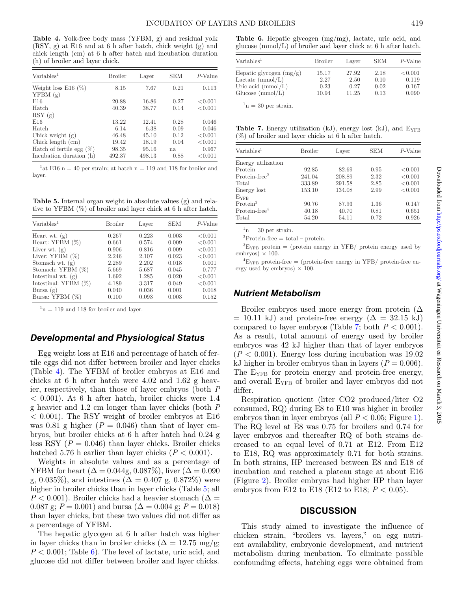<span id="page-4-0"></span>**Table 4.** Yolk-free body mass (YFBM, g) and residual yolk (RSY, g) at E16 and at 6 h after hatch, chick weight (g) and chick length (cm) at 6 h after hatch and incubation duration (h) of broiler and layer chick.

| Variable <sup>1</sup>               | <b>Broiler</b> | Layer  | <b>SEM</b> | $P$ -Value |
|-------------------------------------|----------------|--------|------------|------------|
|                                     |                |        |            |            |
| Weight loss $E16$ (%)<br>YFBM(g)    | 8.15           | 7.67   | 0.21       | 0.113      |
| E16                                 | 20.88          | 16.86  | 0.27       | < 0.001    |
| Hatch                               | 40.39          | 38.77  | 0.14       | < 0.001    |
| RSY(g)                              |                |        |            |            |
| E16                                 | 13.22          | 12.41  | 0.28       | 0.046      |
| Hatch                               | 6.14           | 6.38   | 0.09       | 0.046      |
| Chick weight $(g)$                  | 46.48          | 45.10  | 0.12       | < 0.001    |
| Chick length $\langle$ cm $\rangle$ | 19.42          | 18.19  | 0.04       | < 0.001    |
| Hatch of fertile egg $(\%)$         | 98.35          | 95.16  | na         | 0.967      |
| Incubation duration (h)             | 492.37         | 498.13 | 0.88       | < 0.001    |

<sup>1</sup>at E16 n = 40 per strain; at hatch n = 119 and 118 for broiler and layer.

<span id="page-4-1"></span>**Table 5.** Internal organ weight in absolute values (g) and relative to YFBM (%) of broiler and layer chick at 6 h after hatch.

| Variable <sup>1</sup>   | <b>Broiler</b> | Layer | <b>SEM</b> | $P\text{-Value}$ |
|-------------------------|----------------|-------|------------|------------------|
| Heart wt. $(g)$         | 0.267          | 0.223 | 0.003      | < 0.001          |
| Heart: YFBM $(\%)$      | 0.661          | 0.574 | 0.009      | < 0.001          |
| Liver wt. $(g)$         | 0.906          | 0.816 | 0.009      | < 0.001          |
| Liver: YFBM $(\%)$      | 2.246          | 2.107 | 0.023      | < 0.001          |
| Stomach wt. $(g)$       | 2.289          | 2.202 | 0.018      | 0.001            |
| Stomach: YFBM (%)       | 5.669          | 5.687 | 0.045      | 0.777            |
| Intestinal wt. $(g)$    | 1.692          | 1.285 | 0.020      | < 0.001          |
| Intestinal: YFBM $(\%)$ | 4.189          | 3.317 | 0.049      | < 0.001          |
| Bursa $(g)$             | 0.040          | 0.036 | 0.001      | 0.018            |
| Bursa: YFBM (%)         | 0.100          | 0.093 | 0.003      | 0.152            |

 $1<sup>1</sup>n = 119$  and 118 for broiler and layer.

#### *Developmental and Physiological Status*

Egg weight loss at E16 and percentage of hatch of fertile eggs did not differ between broiler and layer chicks (Table [4\)](#page-4-0). The YFBM of broiler embryos at E16 and chicks at 6 h after hatch were 4.02 and 1.62 g heavier, respectively, than those of layer embryos (both *P*  $< 0.001$ ). At 6 h after hatch, broiler chicks were 1.4 g heavier and 1.2 cm longer than layer chicks (both *P*  $< 0.001$ ). The RSY weight of broiler embryos at E16 was 0.81 g higher  $(P = 0.046)$  than that of layer embryos, but broiler chicks at 6 h after hatch had 0.24 g less RSY  $(P = 0.046)$  than layer chicks. Broiler chicks hatched 5.76 h earlier than layer chicks  $(P < 0.001)$ .

Weights in absolute values and as a percentage of YFBM for heart ( $\Delta = 0.044$ g, 0.087%), liver ( $\Delta = 0.090$ g, 0.035%), and intestines ( $\Delta = 0.407$  g, 0.872%) were higher in broiler chicks than in layer chicks (Table [5;](#page-4-1) all  $P < 0.001$ ). Broiler chicks had a heavier stomach ( $\Delta =$ 0.087 g;  $P = 0.001$ ) and bursa ( $\Delta = 0.004$  g;  $P = 0.018$ ) than layer chicks, but these two values did not differ as a percentage of YFBM.

The hepatic glycogen at 6 h after hatch was higher in layer chicks than in broiler chicks ( $\Delta = 12.75$  mg/g;  $P < 0.001$ ; Table [6\)](#page-4-2). The level of lactate, uric acid, and glucose did not differ between broiler and layer chicks.

<span id="page-4-2"></span>**Table 6.** Hepatic glycogen (mg/mg), lactate, uric acid, and glucose (mmol/L) of broiler and layer chick at 6 h after hatch.

| $\text{Variables}^1$        | <b>Broiler</b> | Laver | <b>SEM</b> | P-Value |
|-----------------------------|----------------|-------|------------|---------|
| Hepatic glycogen $(mg/g)$   | 15.17          | 27.92 | 2.18       | < 0.001 |
| Lactate $(mmol/L)$          | 2.27           | 2.50  | 0.10       | 0.119   |
| Uric acid $\text{(mmol/L)}$ | 0.23           | 0.27  | 0.02       | 0.167   |
| Glucose $\text{(mmol/L)}$   | 10.94          | 11.25 | 0.13       | 0.090   |

 $n = 30$  per strain.

<span id="page-4-3"></span>**Table 7.** Energy utilization (kJ), energy lost (kJ), and  $E_{YFB}$  $(\%)$  of broiler and layer chicks at 6 h after hatch.

| $\text{Variables}^1$ | <b>Broiler</b> | Layer  | <b>SEM</b> | $P$ -Value |
|----------------------|----------------|--------|------------|------------|
| Energy utilization   |                |        |            |            |
| Protein              | 92.85          | 82.69  | 0.95       | < 0.001    |
| $Protein-free2$      | 241.04         | 208.89 | 2.32       | < 0.001    |
| Total                | 333.89         | 291.58 | 2.85       | < 0.001    |
| Energy lost          | 153.10         | 134.08 | 2.99       | < 0.001    |
| $E_{\rm VFR}$        |                |        |            |            |
| Protein <sup>3</sup> | 90.76          | 87.93  | 1.36       | 0.147      |
| $Protein-free4$      | 40.18          | 40.70  | 0.81       | 0.651      |
| Total                | 54.20          | 54.11  | 0.72       | 0.926      |

 $n = 30$  per strain.

 ${}^{2}$ Protein-free = total – protein.

 ${}^{3}E_{YFB}$  protein = (protein energy in YFB/ protein energy used by embryos)  $\times$  100.

 ${}^{4}E_{YFB}$  protein-free = (protein-free energy in YFB/ protein-free energy used by embryos)  $\times$  100.

#### *Nutrient Metabolism*

Broiler embryos used more energy from protein  $(\Delta)$  $= 10.11$  kJ) and protein-free energy ( $\Delta = 32.15$  kJ) compared to layer embryos (Table [7;](#page-4-3) both  $P < 0.001$ ). A[s](#page-5-0) a result, total amount of energy used by broiler embryos was 42 kJ higher than that of layer embryos  $(P < 0.001)$ . Energy loss during incubation was 19.02 kJ higher in broiler embryos than in layers  $(P = 0.006)$ . The  $E_{YFR}$  for protein energy and protein-free energy, and overall EYFB of broiler and layer embryos did not differ.

Respiration quotient (liter CO2 produced/liter O2 consumed, RQ) during E8 to E10 was higher in broiler embryos than in layer embryos (all  $P < 0.05$ ; Figure [1\)](#page-5-0). The RQ level at E8 was 0.75 for broilers and 0.74 for layer embryos and thereafter RQ of both strains decreased to an equal level of 0.71 at E12. From E12 to E18, RQ was approximately 0.71 for both strains. In both strains, HP increased between E8 and E18 of incubation and reached a plateau stage at about E16 (Figure [2\)](#page-6-0). Broiler embryos had higher HP than layer embryos from E12 to E18 (E12 to E18; *P* < 0.05).

#### **DISCUSSION**

This study aimed to investigate the influence of chicken strain, "broilers vs. layers," on egg nutrient availability, embryonic development, and nutrient metabolism during incubation. To eliminate possible confounding effects, hatching eggs were obtained from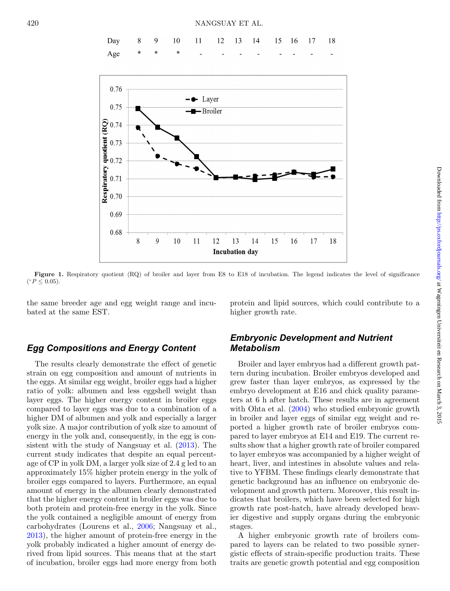

<span id="page-5-0"></span>

Figure 1. Respiratory quotient (RQ) of broiler and layer from E8 to E18 of incubation. The legend indicates the level of significance  $(*P ≤ 0.05).$ 

the same breeder age and egg weight range and incubated at the same EST.

protein and lipid sources, which could contribute to a higher growth rate.

## *Egg Compositions and Energy Content*

The results clearly demonstrate the effect of genetic strain on egg composition and amount of nutrients in the eggs. At similar egg weight, broiler eggs had a higher ratio of yolk: albumen and less eggshell weight than layer eggs. The higher energy content in broiler eggs compared to layer eggs was due to a combination of a higher DM of albumen and yolk and especially a larger yolk size. A major contribution of yolk size to amount of energy in the yolk and, consequently, in the egg is consistent with the study of Nangsuay et al. [\(2013\)](#page-8-10). The current study indicates that despite an equal percentage of CP in yolk DM, a larger yolk size of 2.4 g led to an approximately 15% higher protein energy in the yolk of broiler eggs compared to layers. Furthermore, an equal amount of energy in the albumen clearly demonstrated that the higher energy content in broiler eggs was due to both protein and protein-free energy in the yolk. Since the yolk contained a negligible amount of energy from carbohydrates (Lourens et al., [2006;](#page-8-9) Nangsuay et al., [2013\)](#page-8-10), the higher amount of protein-free energy in the yolk probably indicated a higher amount of energy derived from lipid sources. This means that at the start of incubation, broiler eggs had more energy from both

## *Embryonic Development and Nutrient Metabolism*

Broiler and layer embryos had a different growth pattern during incubation. Broiler embryos developed and grew faster than layer embryos, as expressed by the embryo development at E16 and chick quality parameters at 6 h after hatch. These results are in agreement with Ohta et al.  $(2004)$  who studied embryonic growth in broiler and layer eggs of similar egg weight and reported a higher growth rate of broiler embryos compared to layer embryos at E14 and E19. The current results show that a higher growth rate of broiler compared to layer embryos was accompanied by a higher weight of heart, liver, and intestines in absolute values and relative to YFBM. These findings clearly demonstrate that genetic background has an influence on embryonic development and growth pattern. Moreover, this result indicates that broilers, which have been selected for high growth rate post-hatch, have already developed heavier digestive and supply organs during the embryonic stages.

A higher embryonic growth rate of broilers compared to layers can be related to two possible synergistic effects of strain-specific production traits. These traits are genetic growth potential and egg composition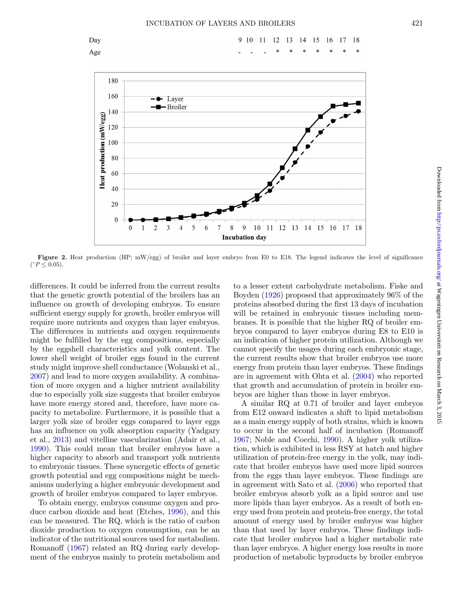Day

<span id="page-6-0"></span>Age





Figure 2. Heat production (HP; mW/egg) of broiler and layer embryo from E0 to E18. The legend indicates the level of significance  $(^*P ≤ 0.05)$ .

differences. It could be inferred from the current results that the genetic growth potential of the broilers has an influence on growth of developing embryos. To ensure sufficient energy supply for growth, broiler embryos will require more nutrients and oxygen than layer embryos. The differences in nutrients and oxygen requirements might be fulfilled by the egg compositions, especially by the eggshell characteristics and yolk content. The lower shell weight of broiler eggs found in the current study might improve shell conductance (Wolanski et al., [2007\)](#page-8-22) and lead to more oxygen availability. A combination of more oxygen and a higher nutrient availability due to especially yolk size suggests that broiler embryos have more energy stored and, therefore, have more capacity to metabolize. Furthermore, it is possible that a larger yolk size of broiler eggs compared to layer eggs has an influence on yolk absorption capacity (Yadgary et al., [2013\)](#page-8-23) and vitelline vascularization (Adair et al., [1990\)](#page-7-2). This could mean that broiler embryos have a higher capacity to absorb and transport yolk nutrients to embryonic tissues. These synergetic effects of genetic growth potential and egg compositions might be mechanisms underlying a higher embryonic development and growth of broiler embryos compared to layer embryos.

To obtain energy, embryos consume oxygen and produce carbon dioxide and heat (Etches, [1996\)](#page-7-3), and this can be measured. The RQ, which is the ratio of carbon dioxide production to oxygen consumption, can be an indicator of the nutritional sources used for metabolism. Romanoff [\(1967\)](#page-8-12) related an RQ during early development of the embryos mainly to protein metabolism and

to a lesser extent carbohydrate metabolism. Fiske and Boyden [\(1926\)](#page-8-24) proposed that approximately 96% of the proteins absorbed during the first 13 days of incubation will be retained in embryonic tissues including membranes. It is possible that the higher RQ of broiler embryos compared to layer embryos during E8 to E10 is an indication of higher protein utilization. Although we cannot specify the usages during each embryonic stage, the current results show that broiler embryos use more energy from protein than layer embryos. These findings are in agreement with Ohta et al. [\(2004\)](#page-8-2) who reported that growth and accumulation of protein in broiler embryos are higher than those in layer embryos.

A similar RQ at 0.71 of broiler and layer embryos from E12 onward indicates a shift to lipid metabolism as a main energy supply of both strains, which is known to occur in the second half of incubation (Romanoff [1967;](#page-8-12) Noble and Cocchi, [1990\)](#page-8-25). A higher yolk utilization, which is exhibited in less RSY at hatch and higher utilization of protein-free energy in the yolk, may indicate that broiler embryos have used more lipid sources from the eggs than layer embryos. These findings are in agreement with Sato et al. [\(2006\)](#page-8-4) who reported that broiler embryos absorb yolk as a lipid source and use more lipids than layer embryos. As a result of both energy used from protein and protein-free energy, the total amount of energy used by broiler embryos was higher than that used by layer embryos. These findings indicate that broiler embryos had a higher metabolic rate than layer embryos. A higher energy loss results in more production of metabolic byproducts by broiler embryos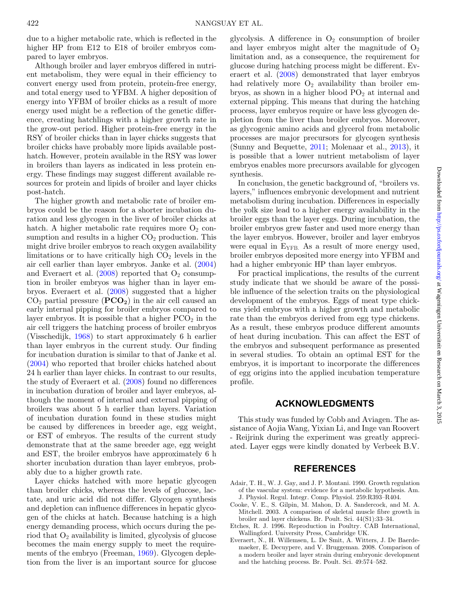due to a higher metabolic rate, which is reflected in the higher HP from E12 to E18 of broiler embryos compared to layer embryos.

Although broiler and layer embryos differed in nutrient metabolism, they were equal in their efficiency to convert energy used from protein, protein-free energy, and total energy used to YFBM. A higher deposition of energy into YFBM of broiler chicks as a result of more energy used might be a reflection of the genetic difference, creating hatchlings with a higher growth rate in the grow-out period. Higher protein-free energy in the RSY of broiler chicks than in layer chicks suggests that broiler chicks have probably more lipids available posthatch. However, protein available in the RSY was lower in broilers than layers as indicated in less protein energy. These findings may suggest different available resources for protein and lipids of broiler and layer chicks post-hatch.

The higher growth and metabolic rate of broiler embryos could be the reason for a shorter incubation duration and less glycogen in the liver of broiler chicks at hatch. A higher metabolic rate requires more  $O_2$  consumption and results in a higher  $CO<sub>2</sub>$  production. This might drive broiler embryos to reach oxygen availability limitations or to have critically high  $CO<sub>2</sub>$  levels in the air cell earlier than layer embryos. Janke et al. [\(2004\)](#page-8-3) and Everaert et al.  $(2008)$  reported that  $O_2$  consumption in broiler embryos was higher than in layer embryos. Everaert et al. [\(2008\)](#page-7-1) suggested that a higher  $CO<sub>2</sub>$  partial pressure ( $PCO<sub>2</sub>$ ) in the air cell caused an early internal pipping for broiler embryos compared to layer embryos. It is possible that a higher  $PCO<sub>2</sub>$  in the air cell triggers the hatching process of broiler embryos (Visschedijk, [1968\)](#page-8-26) to start approximately 6 h earlier than layer embryos in the current study. Our finding for incubation duration is similar to that of Janke et al. [\(2004\)](#page-8-3) who reported that broiler chicks hatched about 24 h earlier than layer chicks. In contrast to our results, the study of Everaert et al. [\(2008\)](#page-7-1) found no differences in incubation duration of broiler and layer embryos, although the moment of internal and external pipping of broilers was about 5 h earlier than layers. Variation of incubation duration found in these studies might be caused by differences in breeder age, egg weight, or EST of embryos. The results of the current study demonstrate that at the same breeder age, egg weight and EST, the broiler embryos have approximately 6 h shorter incubation duration than layer embryos, probably due to a higher growth rate.

Layer chicks hatched with more hepatic glycogen than broiler chicks, whereas the levels of glucose, lactate, and uric acid did not differ. Glycogen synthesis and depletion can influence differences in hepatic glycogen of the chicks at hatch. Because hatching is a high energy demanding process, which occurs during the period that  $O_2$  availability is limited, glycolysis of glucose becomes the main energy supply to meet the requirements of the embryo (Freeman, [1969\)](#page-8-27). Glycogen depletion from the liver is an important source for glucose glycolysis. A difference in  $O_2$  consumption of broiler and layer embryos might alter the magnitude of  $O<sub>2</sub>$ limitation and, as a consequence, the requirement for glucose during hatching process might be different. Everaert et al. [\(2008\)](#page-7-1) demonstrated that layer embryos had relatively more  $O_2$  availability than broiler embryos, as shown in a higher blood  $PO<sub>2</sub>$  at internal and external pipping. This means that during the hatching process, layer embryos require or have less glycogen depletion from the liver than broiler embryos. Moreover, as glycogenic amino acids and glycerol from metabolic processes are major precursors for glycogen synthesis (Sunny and Bequette, [2011;](#page-8-28) Molenaar et al., [2013\)](#page-8-29), it is possible that a lower nutrient metabolism of layer embryos enables more precursors available for glycogen synthesis.

In conclusion, the genetic background of, "broilers vs. layers," influences embryonic development and nutrient metabolism during incubation. Differences in especially the yolk size lead to a higher energy availability in the broiler eggs than the layer eggs. During incubation, the broiler embryos grew faster and used more energy than the layer embryos. However, broiler and layer embryos were equal in  $E_{YFB}$ . As a result of more energy used, broiler embryos deposited more energy into YFBM and had a higher embryonic HP than layer embryos.

For practical implications, the results of the current study indicate that we should be aware of the possible influence of the selection traits on the physiological development of the embryos. Eggs of meat type chickens yield embryos with a higher growth and metabolic rate than the embryos derived from egg type chickens. As a result, these embryos produce different amounts of heat during incubation. This can affect the EST of the embryos and subsequent performance as presented in several studies. To obtain an optimal EST for the embryos, it is important to incorporate the differences of egg origins into the applied incubation temperature profile.

#### **ACKNOWLEDGMENTS**

This study was funded by Cobb and Aviagen. The assistance of Aojia Wang, Yixian Li, and Inge van Roovert - Reijrink during the experiment was greatly appreciated. Layer eggs were kindly donated by Verbeek B.V.

#### **REFERENCES**

- <span id="page-7-2"></span>Adair, T. H., W. J. Gay, and J. P. Montani. 1990. Growth regulation of the vascular system: evidence for a metabolic hypothesis. Am. J. Physiol. Regul. Integr. Comp. Physiol. 259:R393–R404.
- <span id="page-7-0"></span>Cooke, V. E., S. Gilpin, M. Mahon, D. A. Sandercock, and M. A. Mitchell. 2003. A comparison of skeletal muscle fibre growth in broiler and layer chickens. Br. Poult. Sci. 44(S1):33–34.
- <span id="page-7-3"></span>Etches, R. J. 1996. Reproduction in Poultry. CAB International, Wallingford. University Press, Cambridge UK.
- <span id="page-7-1"></span>Everaert, N., H. Willemsen, L. De Smit, A. Witters, J. De Baerdemaeker, E. Decuypere, and V. Bruggeman. 2008. Comparison of a modern broiler and layer strain during embryonic development and the hatching process. Br. Poult. Sci. 49:574–582.